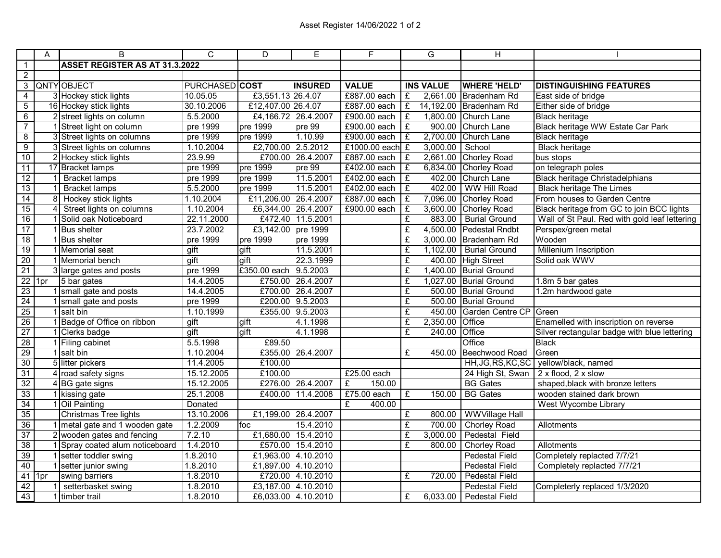|                         | A            | B                                     | $\mathsf{C}$   | D                    | E                   | F                 |                         | G                | $\overline{H}$         |                                               |
|-------------------------|--------------|---------------------------------------|----------------|----------------------|---------------------|-------------------|-------------------------|------------------|------------------------|-----------------------------------------------|
| $\mathbf{1}$            |              | <b>ASSET REGISTER AS AT 31.3.2022</b> |                |                      |                     |                   |                         |                  |                        |                                               |
| $\overline{2}$          |              |                                       |                |                      |                     |                   |                         |                  |                        |                                               |
| 3                       |              | <b>QNTY OBJECT</b>                    | PURCHASED COST |                      | <b>INSURED</b>      | <b>VALUE</b>      |                         | <b>INS VALUE</b> | <b>WHERE 'HELD'</b>    | <b>DISTINGUISHING FEATURES</b>                |
| $\overline{4}$          |              | 3 Hockey stick lights                 | 10.05.05       | £3,551.13 26.4.07    |                     | £887.00 each      | £                       | 2,661.00         | Bradenham Rd           | East side of bridge                           |
| $\overline{5}$          |              | 16 Hockey stick lights                | 30.10.2006     | £12,407.00 26.4.07   |                     | £887.00 each      | $\mathbf{f}$            | 14,192.00        | Bradenham Rd           | Either side of bridge                         |
| 6                       |              | 2 street lights on column             | 5.5.2000       | £4,166.72 26.4.2007  |                     | £900.00 each      | $\overline{E}$          | 1,800.00         | Church Lane            | <b>Black heritage</b>                         |
| $\overline{7}$          |              | 1 Street light on column              | pre 1999       | pre 1999             | pre 99              | £900.00 each $E$  |                         | 900.00           | Church Lane            | Black heritage WW Estate Car Park             |
| $\overline{\mathbf{8}}$ |              | 3 Street lights on columns            | pre 1999       | pre 1999             | 1.10.99             | £900.00 each $E$  |                         | 2,700.00         | Church Lane            | <b>Black heritage</b>                         |
| $\overline{9}$          |              | 3 Street lights on columns            | 1.10.2004      | £2,700.00 2.5.2012   |                     | £1000.00 each $E$ |                         | 3,000.00         | School                 | <b>Black heritage</b>                         |
| 10                      |              | 2 Hockey stick lights                 | 23.9.99        |                      | £700.00 26.4.2007   | £887.00 each $E$  |                         | 2,661.00         | Chorley Road           | bus stops                                     |
| 11                      |              | 17 Bracket lamps                      | pre 1999       | pre 1999             | pre 99              | £402.00 each      | £                       | 6,834.00         | Chorley Road           | on telegraph poles                            |
| 12                      |              | <b>Bracket lamps</b>                  | pre 1999       | pre 1999             | 11.5.2001           | £402.00 each      | $\overline{f}$          | 402.00           | Church Lane            | <b>Black heritage Christadelphians</b>        |
| 13                      | $\mathbf{1}$ | <b>Bracket lamps</b>                  | 5.5.2000       | pre 1999             | 11.5.2001           | £402.00 each $E$  |                         | 402.00           | <b>WW Hill Road</b>    | <b>Black heritage The Limes</b>               |
| 14                      |              | 8 Hockey stick lights                 | 1.10.2004      | £11,206.00 26.4.2007 |                     | £887.00 each      | £                       | 7,096.00         | Chorley Road           | From houses to Garden Centre                  |
| 15                      |              | 4 Street lights on columns            | 1.10.2004      | £6,344.00 26.4.2007  |                     | £900.00 each      | £                       | 3,600.00         | Chorley Road           | Black heritage from GC to join BCC lights     |
| 16                      |              | 1 Solid oak Noticeboard               | 22.11.2000     |                      | £472.40 11.5.2001   |                   | £                       | 883.00           | <b>Burial Ground</b>   | Wall of St Paul. Red with gold leaf lettering |
| 17                      |              | 1 Bus shelter                         | 23.7.2002      | £3,142.00            | pre 1999            |                   | £                       | 4,500.00         | Pedestal Rndbt         | Perspex/green metal                           |
| 18                      |              | 1 Bus shelter                         | pre 1999       | pre 1999             | pre 1999            |                   | £                       | 3,000.00         | Bradenham Rd           | Wooden                                        |
| 19                      |              | 1 Memorial seat                       | gift           | gift                 | 11.5.2001           |                   | £                       | 1,102.00         | <b>Burial Ground</b>   | Millenium Inscription                         |
| 20                      |              | 1 Memorial bench                      | gift           | gift                 | 22.3.1999           |                   | £                       | 400.00           | High Street            | Solid oak WWV                                 |
| 21                      |              | 3 large gates and posts               | pre 1999       | £350.00 each         | 9.5.2003            |                   | £                       | 1,400.00         | <b>Burial Ground</b>   |                                               |
| $22$ 1pr                |              | 5 bar gates                           | 14.4.2005      |                      | £750.00 26.4.2007   |                   | £                       | 1,027.00         | <b>Burial Ground</b>   | 1.8m 5 bar gates                              |
| 23                      |              | 1 small gate and posts                | 14.4.2005      |                      | £700.00 26.4.2007   |                   | $\overline{f}$          | 500.00           | <b>Burial Ground</b>   | 1.2m hardwood gate                            |
| 24                      |              | 1 small gate and posts                | pre 1999       |                      | £200.00 9.5.2003    |                   | $\overline{f}$          | 500.00           | <b>Burial Ground</b>   |                                               |
| 25                      |              | $1$ salt bin                          | 1.10.1999      |                      | £355.00 9.5.2003    |                   | $\overline{f}$          | 450.00           | Garden Centre CP Green |                                               |
| 26                      |              | 1 Badge of Office on ribbon           | gift           | gift                 | 4.1.1998            |                   | $\overline{f}$          | 2,350.00         | Office                 | Enamelled with inscription on reverse         |
| 27                      |              | 1 Clerks badge                        | gift           | gift                 | 4.1.1998            |                   | $\overline{\mathbf{f}}$ | 240.00           | Office                 | Silver rectangular badge with blue lettering  |
| 28                      |              | 1 Filing cabinet                      | 5.5.1998       | £89.50               |                     |                   |                         |                  | Office                 | Black                                         |
| 29                      |              | 1 salt bin                            | 1.10.2004      |                      | £355.00 26.4.2007   |                   | £                       | 450.00           | Beechwood Road         | Green                                         |
| 30                      |              | 5 litter pickers                      | 11.4.2005      | £100.00              |                     |                   |                         |                  | HH, JG, RS, KC, SC     | yellow/black, named                           |
| 31                      |              | 4 road safety signs                   | 15.12.2005     | £100.00              |                     | £25.00 each       |                         |                  | 24 High St, Swan       | 2 x flood, 2 x slow                           |
| 32                      |              | $4 BG$ gate signs                     | 15.12.2005     |                      | £276.00 26.4.2007   | £<br>150.00       |                         |                  | <b>BG</b> Gates        | shaped, black with bronze letters             |
| 33                      |              | 1 kissing gate                        | 25.1.2008      |                      | £400.00 11.4.2008   | £75.00 each       | $\overline{f}$          | 150.00           | <b>BG</b> Gates        | wooden stained dark brown                     |
| 34                      |              | 1 Oil Painting                        | Donated        |                      |                     | £<br>400.00       |                         |                  |                        | West Wycombe Library                          |
| 35                      |              | Christmas Tree lights                 | 13.10.2006     | £1,199.00 26.4.2007  |                     |                   | £                       | 800.00           | <b>WWVillage Hall</b>  |                                               |
| 36                      |              | 1 metal gate and 1 wooden gate        | 1.2.2009       | foc                  | 15.4.2010           |                   | $\overline{f}$          | 700.00           | <b>Chorley Road</b>    | Allotments                                    |
| 37                      |              | 2 wooden gates and fencing            | 7.2.10         |                      | £1,680.00 15.4.2010 |                   | £                       | 3,000.00         | Pedestal Field         |                                               |
| 38                      |              | 1 Spray coated alum noticeboard       | 1.4.2010       |                      | £570.00 15.4.2010   |                   | £                       | 800.00           | <b>Chorley Road</b>    | Allotments                                    |
| 39                      |              | 1 setter toddler swing                | 1.8.2010       |                      | £1,963.00 4.10.2010 |                   |                         |                  | <b>Pedestal Field</b>  | Completely replacted 7/7/21                   |
| 40                      |              | 1 setter junior swing                 | 1.8.2010       |                      | £1,897.00 4.10.2010 |                   |                         |                  | <b>Pedestal Field</b>  | Completely replacted 7/7/21                   |
| $41$ 1pr                |              | swing barriers                        | 1.8.2010       |                      | £720.00 4.10.2010   |                   | £                       | 720.00           | <b>Pedestal Field</b>  |                                               |
| 42                      |              | setterbasket swing                    | 1.8.2010       |                      | £3,187.00 4.10.2010 |                   |                         |                  | <b>Pedestal Field</b>  | Completerly replaced 1/3/2020                 |
| 43                      |              | 1 timber trail                        | 1.8.2010       |                      | £6,033.00 4.10.2010 |                   | £                       | 6,033.00         | <b>Pedestal Field</b>  |                                               |